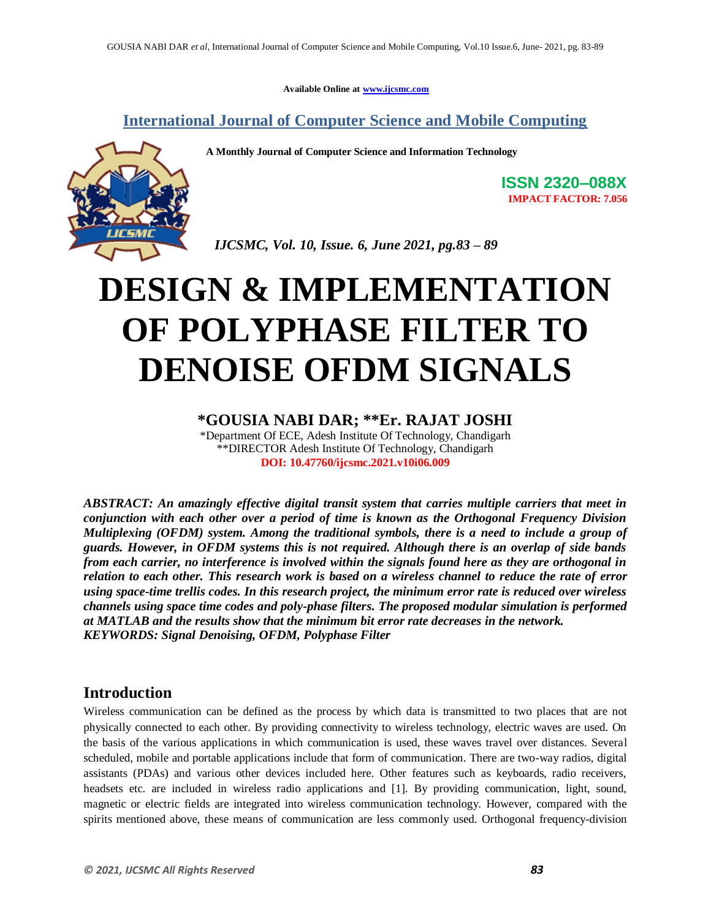**Available Online at www.ijcsmc.com**

**International Journal of Computer Science and Mobile Computing**

**A Monthly Journal of Computer Science and Information Technology**



**ISSN 2320–088X IMPACT FACTOR: 7.056**

 *IJCSMC, Vol. 10, Issue. 6, June 2021, pg.83 – 89*

# **DESIGN & IMPLEMENTATION OF POLYPHASE FILTER TO DENOISE OFDM SIGNALS**

# **\*GOUSIA NABI DAR; \*\*Er. RAJAT JOSHI**

\*Department Of ECE, Adesh Institute Of Technology, Chandigarh \*\*DIRECTOR Adesh Institute Of Technology, Chandigarh **DOI: 10.47760/ijcsmc.2021.v10i06.009**

*ABSTRACT: An amazingly effective digital transit system that carries multiple carriers that meet in conjunction with each other over a period of time is known as the Orthogonal Frequency Division Multiplexing (OFDM) system. Among the traditional symbols, there is a need to include a group of guards. However, in OFDM systems this is not required. Although there is an overlap of side bands from each carrier, no interference is involved within the signals found here as they are orthogonal in relation to each other. This research work is based on a wireless channel to reduce the rate of error using space-time trellis codes. In this research project, the minimum error rate is reduced over wireless channels using space time codes and poly-phase filters. The proposed modular simulation is performed at MATLAB and the results show that the minimum bit error rate decreases in the network. KEYWORDS: Signal Denoising, OFDM, Polyphase Filter*

## **Introduction**

Wireless communication can be defined as the process by which data is transmitted to two places that are not physically connected to each other. By providing connectivity to wireless technology, electric waves are used. On the basis of the various applications in which communication is used, these waves travel over distances. Several scheduled, mobile and portable applications include that form of communication. There are two-way radios, digital assistants (PDAs) and various other devices included here. Other features such as keyboards, radio receivers, headsets etc. are included in wireless radio applications and [1]. By providing communication, light, sound, magnetic or electric fields are integrated into wireless communication technology. However, compared with the spirits mentioned above, these means of communication are less commonly used. Orthogonal frequency-division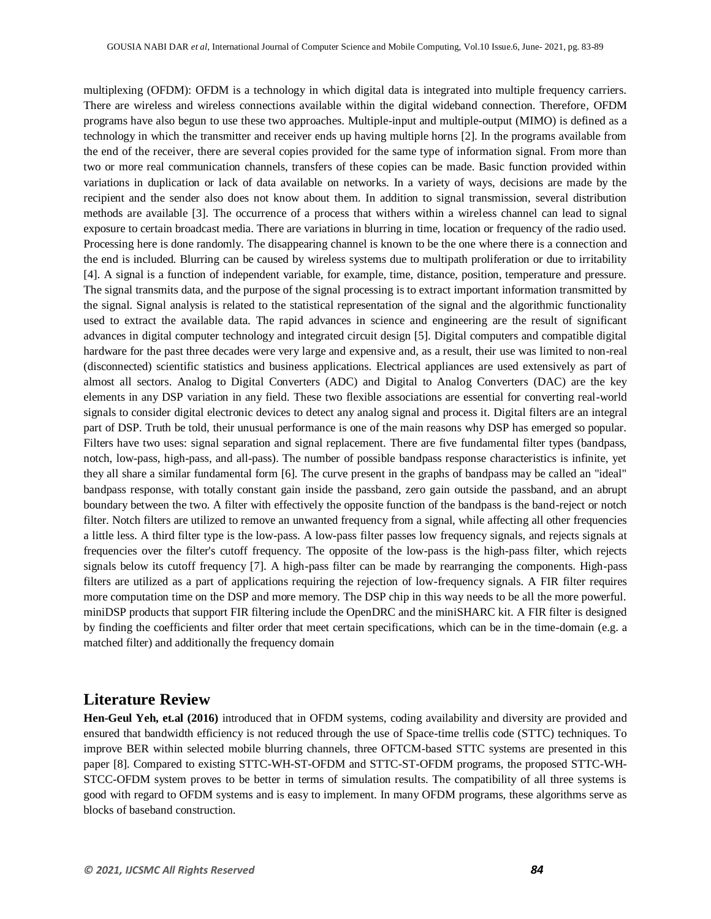multiplexing (OFDM): OFDM is a technology in which digital data is integrated into multiple frequency carriers. There are wireless and wireless connections available within the digital wideband connection. Therefore, OFDM programs have also begun to use these two approaches. Multiple-input and multiple-output (MIMO) is defined as a technology in which the transmitter and receiver ends up having multiple horns [2]. In the programs available from the end of the receiver, there are several copies provided for the same type of information signal. From more than two or more real communication channels, transfers of these copies can be made. Basic function provided within variations in duplication or lack of data available on networks. In a variety of ways, decisions are made by the recipient and the sender also does not know about them. In addition to signal transmission, several distribution methods are available [3]. The occurrence of a process that withers within a wireless channel can lead to signal exposure to certain broadcast media. There are variations in blurring in time, location or frequency of the radio used. Processing here is done randomly. The disappearing channel is known to be the one where there is a connection and the end is included. Blurring can be caused by wireless systems due to multipath proliferation or due to irritability [4]. A signal is a function of independent variable, for example, time, distance, position, temperature and pressure. The signal transmits data, and the purpose of the signal processing is to extract important information transmitted by the signal. Signal analysis is related to the statistical representation of the signal and the algorithmic functionality used to extract the available data. The rapid advances in science and engineering are the result of significant advances in digital computer technology and integrated circuit design [5]. Digital computers and compatible digital hardware for the past three decades were very large and expensive and, as a result, their use was limited to non-real (disconnected) scientific statistics and business applications. Electrical appliances are used extensively as part of almost all sectors. Analog to Digital Converters (ADC) and Digital to Analog Converters (DAC) are the key elements in any DSP variation in any field. These two flexible associations are essential for converting real-world signals to consider digital electronic devices to detect any analog signal and process it. Digital filters are an integral part of DSP. Truth be told, their unusual performance is one of the main reasons why DSP has emerged so popular. Filters have two uses: signal separation and signal replacement. There are five fundamental filter types (bandpass, notch, low-pass, high-pass, and all-pass). The number of possible bandpass response characteristics is infinite, yet they all share a similar fundamental form [6]. The curve present in the graphs of bandpass may be called an "ideal" bandpass response, with totally constant gain inside the passband, zero gain outside the passband, and an abrupt boundary between the two. A filter with effectively the opposite function of the bandpass is the band-reject or notch filter. Notch filters are utilized to remove an unwanted frequency from a signal, while affecting all other frequencies a little less. A third filter type is the low-pass. A low-pass filter passes low frequency signals, and rejects signals at frequencies over the filter's cutoff frequency. The opposite of the low-pass is the high-pass filter, which rejects signals below its cutoff frequency [7]. A high-pass filter can be made by rearranging the components. High-pass filters are utilized as a part of applications requiring the rejection of low-frequency signals. A FIR filter requires more computation time on the DSP and more memory. The DSP chip in this way needs to be all the more powerful. miniDSP products that support FIR filtering include the OpenDRC and the miniSHARC kit. A FIR filter is designed by finding the coefficients and filter order that meet certain specifications, which can be in the time-domain (e.g. a matched filter) and additionally the frequency domain

#### **Literature Review**

**Hen-Geul Yeh, et.al (2016)** introduced that in OFDM systems, coding availability and diversity are provided and ensured that bandwidth efficiency is not reduced through the use of Space-time trellis code (STTC) techniques. To improve BER within selected mobile blurring channels, three OFTCM-based STTC systems are presented in this paper [8]. Compared to existing STTC-WH-ST-OFDM and STTC-ST-OFDM programs, the proposed STTC-WH-STCC-OFDM system proves to be better in terms of simulation results. The compatibility of all three systems is good with regard to OFDM systems and is easy to implement. In many OFDM programs, these algorithms serve as blocks of baseband construction.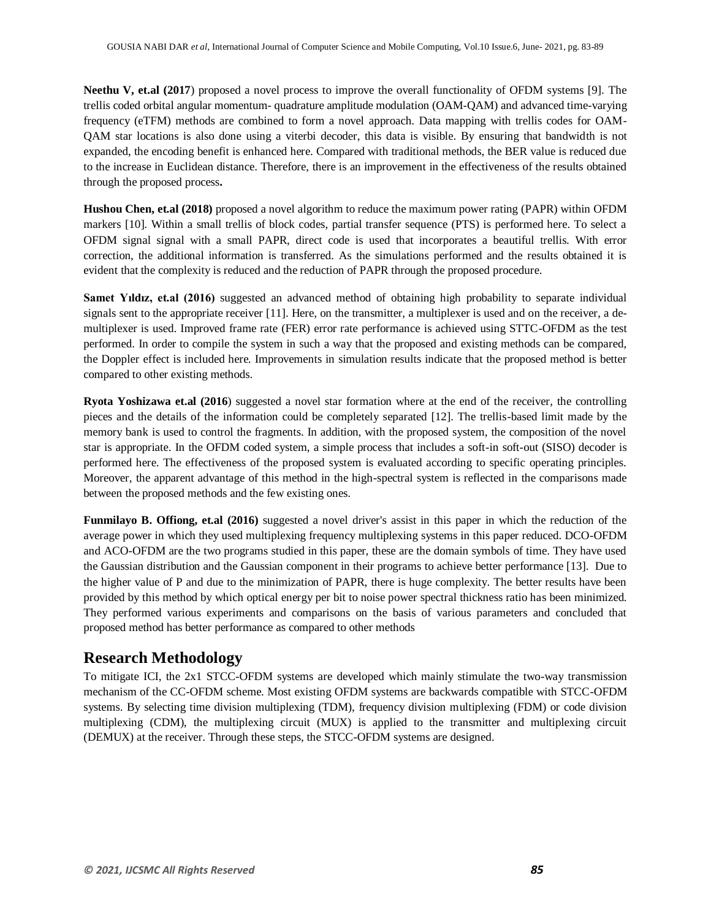**Neethu V, et.al (2017**) proposed a novel process to improve the overall functionality of OFDM systems [9]. The trellis coded orbital angular momentum- quadrature amplitude modulation (OAM-QAM) and advanced time-varying frequency (eTFM) methods are combined to form a novel approach. Data mapping with trellis codes for OAM-QAM star locations is also done using a viterbi decoder, this data is visible. By ensuring that bandwidth is not expanded, the encoding benefit is enhanced here. Compared with traditional methods, the BER value is reduced due to the increase in Euclidean distance. Therefore, there is an improvement in the effectiveness of the results obtained through the proposed process**.**

**Hushou Chen, et.al (2018)** proposed a novel algorithm to reduce the maximum power rating (PAPR) within OFDM markers [10]. Within a small trellis of block codes, partial transfer sequence (PTS) is performed here. To select a OFDM signal signal with a small PAPR, direct code is used that incorporates a beautiful trellis. With error correction, the additional information is transferred. As the simulations performed and the results obtained it is evident that the complexity is reduced and the reduction of PAPR through the proposed procedure.

**Samet Yıldız, et.al (2016)** suggested an advanced method of obtaining high probability to separate individual signals sent to the appropriate receiver [11]. Here, on the transmitter, a multiplexer is used and on the receiver, a demultiplexer is used. Improved frame rate (FER) error rate performance is achieved using STTC-OFDM as the test performed. In order to compile the system in such a way that the proposed and existing methods can be compared, the Doppler effect is included here. Improvements in simulation results indicate that the proposed method is better compared to other existing methods.

**Ryota Yoshizawa et.al (2016**) suggested a novel star formation where at the end of the receiver, the controlling pieces and the details of the information could be completely separated [12]. The trellis-based limit made by the memory bank is used to control the fragments. In addition, with the proposed system, the composition of the novel star is appropriate. In the OFDM coded system, a simple process that includes a soft-in soft-out (SISO) decoder is performed here. The effectiveness of the proposed system is evaluated according to specific operating principles. Moreover, the apparent advantage of this method in the high-spectral system is reflected in the comparisons made between the proposed methods and the few existing ones.

**Funmilayo B. Offiong, et.al (2016)** suggested a novel driver's assist in this paper in which the reduction of the average power in which they used multiplexing frequency multiplexing systems in this paper reduced. DCO-OFDM and ACO-OFDM are the two programs studied in this paper, these are the domain symbols of time. They have used the Gaussian distribution and the Gaussian component in their programs to achieve better performance [13]. Due to the higher value of P and due to the minimization of PAPR, there is huge complexity. The better results have been provided by this method by which optical energy per bit to noise power spectral thickness ratio has been minimized. They performed various experiments and comparisons on the basis of various parameters and concluded that proposed method has better performance as compared to other methods

# **Research Methodology**

To mitigate ICI, the 2x1 STCC-OFDM systems are developed which mainly stimulate the two-way transmission mechanism of the CC-OFDM scheme. Most existing OFDM systems are backwards compatible with STCC-OFDM systems. By selecting time division multiplexing (TDM), frequency division multiplexing (FDM) or code division multiplexing (CDM), the multiplexing circuit (MUX) is applied to the transmitter and multiplexing circuit (DEMUX) at the receiver. Through these steps, the STCC-OFDM systems are designed.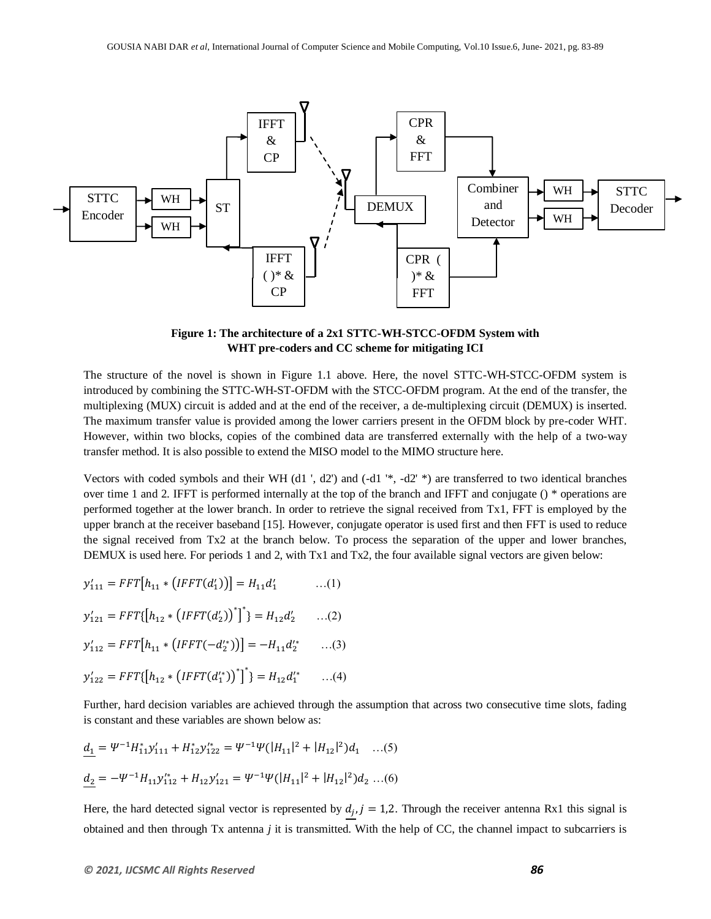

**Figure 1: The architecture of a 2x1 STTC-WH-STCC-OFDM System with WHT pre-coders and CC scheme for mitigating ICI**

The structure of the novel is shown in Figure 1.1 above. Here, the novel STTC-WH-STCC-OFDM system is introduced by combining the STTC-WH-ST-OFDM with the STCC-OFDM program. At the end of the transfer, the multiplexing (MUX) circuit is added and at the end of the receiver, a de-multiplexing circuit (DEMUX) is inserted. The maximum transfer value is provided among the lower carriers present in the OFDM block by pre-coder WHT. However, within two blocks, copies of the combined data are transferred externally with the help of a two-way transfer method. It is also possible to extend the MISO model to the MIMO structure here.

Vectors with coded symbols and their WH (d1 ', d2') and (-d1 '\*, -d2' \*) are transferred to two identical branches over time 1 and 2. IFFT is performed internally at the top of the branch and IFFT and conjugate () \* operations are performed together at the lower branch. In order to retrieve the signal received from Tx1, FFT is employed by the upper branch at the receiver baseband [15]. However, conjugate operator is used first and then FFT is used to reduce the signal received from Tx2 at the branch below. To process the separation of the upper and lower branches, DEMUX is used here. For periods 1 and 2, with Tx1 and Tx2, the four available signal vectors are given below:

$$
y'_{111} = FFT[h_{11} * (IFFT(d'_1))] = H_{11}d'_1 \qquad \dots (1)
$$

$$
y'_{121} = FFT[{h_{12} * (IFFT(d'_2))}^*]
$$
 =  $H_{12}d'_2$  ...(2)

$$
y'_{112} = FFT[h_{11} * (IFFT(-d_2^{t*}))] = -H_{11}d_2^{t*} \qquad ...(3)
$$

$$
y'_{122} = FFT[{h_{12} * (IFFT(d_1^{1*}))}^*]^* = H_{12}d_1^{1*} \qquad ...(4)
$$

Further, hard decision variables are achieved through the assumption that across two consecutive time slots, fading is constant and these variables are shown below as:

$$
\underline{d_1} = \Psi^{-1} H_{11}^* y_{111}' + H_{12}^* y_{122}' = \Psi^{-1} \Psi(|H_{11}|^2 + |H_{12}|^2) d_1 \dots (5)
$$
  

$$
\underline{d_2} = -\Psi^{-1} H_{11} y_{112}' + H_{12} y_{121}' = \Psi^{-1} \Psi(|H_{11}|^2 + |H_{12}|^2) d_2 \dots (6)
$$

Here, the hard detected signal vector is represented by  $d_i$ ,  $j = 1,2$ . Through the receiver antenna Rx1 this signal is obtained and then through Tx antenna *j* it is transmitted. With the help of CC, the channel impact to subcarriers is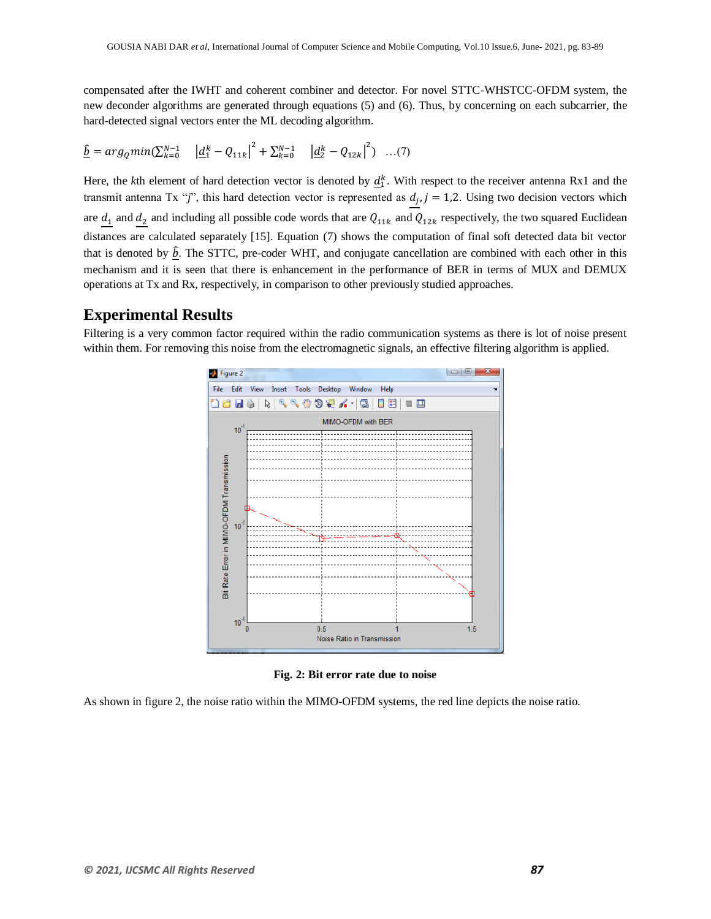compensated after the IWHT and coherent combiner and detector. For novel STTC-WHSTCC-OFDM system, the new deconder algorithms are generated through equations (5) and (6). Thus, by concerning on each subcarrier, the hard-detected signal vectors enter the ML decoding algorithm.

$$
\underline{\hat{b}} = arg_{Q}min(\sum_{k=0}^{N-1} | \underline{d}_{1}^{k} - Q_{11k} |^{2} + \sum_{k=0}^{N-1} | \underline{d}_{2}^{k} - Q_{12k} |^{2}) ....(7)
$$

Here, the *k*th element of hard detection vector is denoted by  $d_1^k$ . With respect to the receiver antenna Rx1 and the transmit antenna Tx "*j*", this hard detection vector is represented as  $d_i$ ,  $j = 1,2$ . Using two decision vectors which are  $d_1$  and  $d_2$  and including all possible code words that are  $Q_{11k}$  and  $Q_{12k}$  respectively, the two squared Euclidean distances are calculated separately [15]. Equation (7) shows the computation of final soft detected data bit vector that is denoted by  $\hat{b}$ . The STTC, pre-coder WHT, and conjugate cancellation are combined with each other in this mechanism and it is seen that there is enhancement in the performance of BER in terms of MUX and DEMUX operations at Tx and Rx, respectively, in comparison to other previously studied approaches.

### **Experimental Results**

Filtering is a very common factor required within the radio communication systems as there is lot of noise present within them. For removing this noise from the electromagnetic signals, an effective filtering algorithm is applied.



**Fig. 2: Bit error rate due to noise**

As shown in figure 2, the noise ratio within the MIMO-OFDM systems, the red line depicts the noise ratio.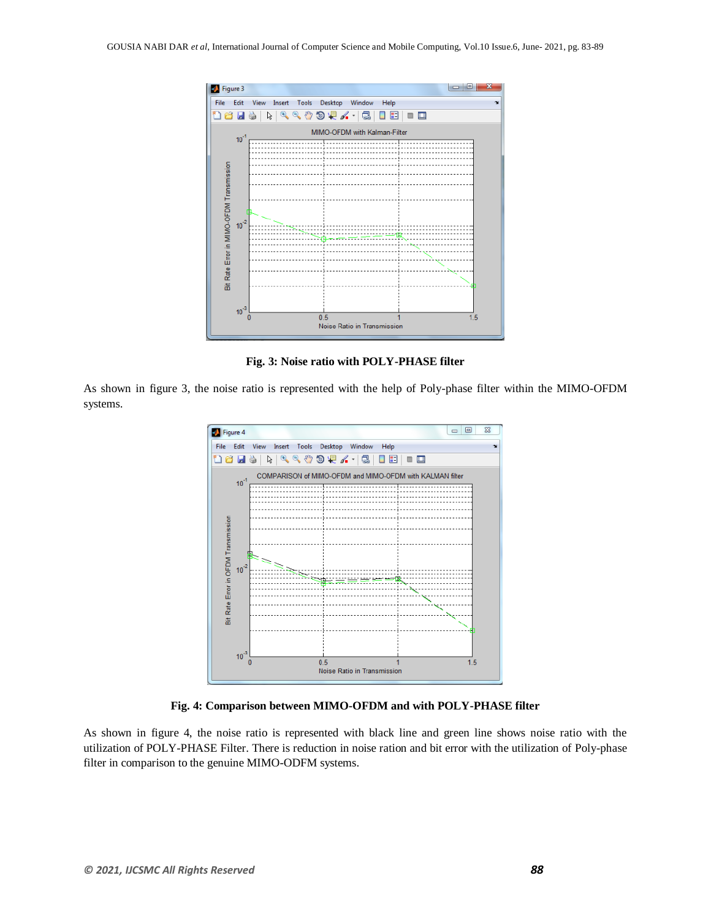

**Fig. 3: Noise ratio with POLY-PHASE filter**

As shown in figure 3, the noise ratio is represented with the help of Poly-phase filter within the MIMO-OFDM systems.



**Fig. 4: Comparison between MIMO-OFDM and with POLY-PHASE filter**

As shown in figure 4, the noise ratio is represented with black line and green line shows noise ratio with the utilization of POLY-PHASE Filter. There is reduction in noise ration and bit error with the utilization of Poly-phase filter in comparison to the genuine MIMO-ODFM systems.